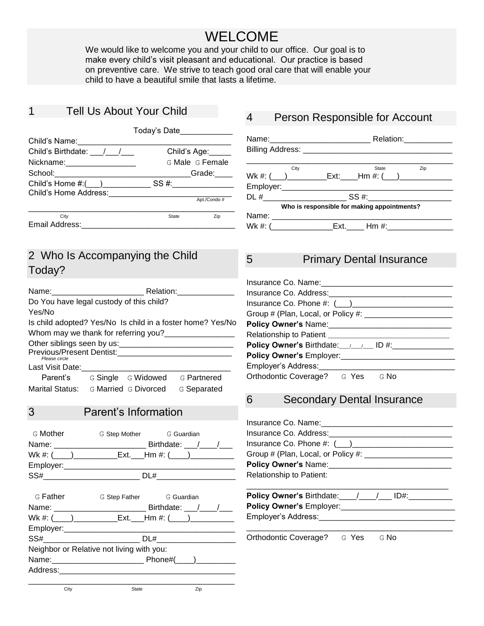# WELCOME

We would like to welcome you and your child to our office. Our goal is to make every child's visit pleasant and educational. Our practice is based on preventive care. We strive to teach good oral care that will enable your child to have a beautiful smile that lasts a lifetime..

#### 1 Tell Us About Your Child j

|                                    | Today's Date____________ |     |
|------------------------------------|--------------------------|-----|
| Child's Name:                      |                          |     |
| Child's Birthdate: / /             | Child's Age:             |     |
|                                    | G Male G Female          |     |
| School:___________________________ | Grade:                   |     |
| Child's Home $\#$ : $($ )          | SS #:                    |     |
| Child's Home Address:              |                          |     |
|                                    | Apt./Condo#              |     |
| City                               | <b>State</b>             | Zip |
| Email Address:                     |                          |     |

## 2 Who Is Accompanying the Child Today?

| Name:                                                                           | Relation:          |                                                            |
|---------------------------------------------------------------------------------|--------------------|------------------------------------------------------------|
| Do You have legal custody of this child?                                        |                    |                                                            |
| Yes/No                                                                          |                    |                                                            |
|                                                                                 |                    | Is child adopted? Yes/No Is child in a foster home? Yes/No |
| Whom may we thank for referring you?                                            |                    |                                                            |
| Other siblings seen by us:<br><b>Previous/Present Dentist:</b><br>Please circle |                    |                                                            |
| Last Visit Date:                                                                |                    |                                                            |
| Parent's                                                                        | G Single G Widowed | G Partnered                                                |
| Marital Status: G Married G Divorced                                            |                    | G Separated                                                |

### 3 Parent's Information

| G Mother | G Step Mother G Guardian                                       |  |
|----------|----------------------------------------------------------------|--|
|          | Birthdate: $\frac{1}{\sqrt{1-\frac{1}{2}}}$                    |  |
|          | Wk #: (____)_______________Ext.____Hm #: (_____)______________ |  |
|          |                                                                |  |
| SS#      | DL#                                                            |  |
|          |                                                                |  |

| G Father                                  |  | G Step Father G Guardian |  |  |
|-------------------------------------------|--|--------------------------|--|--|
|                                           |  |                          |  |  |
|                                           |  |                          |  |  |
|                                           |  |                          |  |  |
| SS#___________________________            |  | DL# _________________    |  |  |
| Neighbor or Relative not living with you: |  |                          |  |  |
|                                           |  |                          |  |  |
|                                           |  |                          |  |  |
|                                           |  |                          |  |  |

### 4 Person Responsible for Account

|                                                                  |  |       | Relation: 2000 |
|------------------------------------------------------------------|--|-------|----------------|
|                                                                  |  |       |                |
|                                                                  |  |       |                |
| City                                                             |  | State | Zip            |
|                                                                  |  |       |                |
|                                                                  |  |       |                |
|                                                                  |  |       |                |
| Who is responsible for making appointments?                      |  |       |                |
|                                                                  |  |       |                |
| Wk #: (______________________Ext.________ Hm #:_________________ |  |       |                |

#### 5 Primary Dental Insurance

| Insurance Co. Name:                                       |
|-----------------------------------------------------------|
| Insurance Co. Address:                                    |
| Insurance Co. Phone #: $(\_\_\_)$                         |
| Group # (Plan, Local, or Policy #: ______________________ |
| <b>Policy Owner's Name:</b>                               |
| Relationship to Patient: _____                            |
|                                                           |
| Policy Owner's Employer:                                  |
| Employer's Address:                                       |
| Orthodontic Coverage? G Yes G No                          |

#### 6 Secondary Dental Insurance

| Insurance Co. Name: 1990 1991            |  |  |  |  |  |
|------------------------------------------|--|--|--|--|--|
| Insurance Co. Address:                   |  |  |  |  |  |
|                                          |  |  |  |  |  |
|                                          |  |  |  |  |  |
|                                          |  |  |  |  |  |
| <b>Relationship to Patient:</b>          |  |  |  |  |  |
| Policy Owner's Birthdate: / / / / / ID#: |  |  |  |  |  |
| Policy Owner's Employer:                 |  |  |  |  |  |

\_\_\_\_\_\_\_\_\_\_\_\_\_\_\_\_\_\_\_\_\_\_\_\_\_\_\_\_\_\_\_\_\_\_\_\_\_\_\_\_\_\_\_\_\_\_\_ Orthodontic Coverage? G Yes G No

Employer's Address:

City **State State Zip**